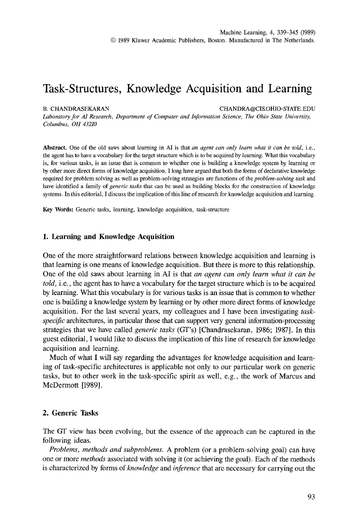# **Task-Structures, Knowledge Acquisition and Learning**

B. CHANDRASEKARAN CHANDRA@CIS.OHIO-STATE.EDU

*Laboratory for AI Research, Department of Computer and Information Science, The Ohio State University, Columbus, OH 43210* 

**Abstract.** One of the old saws about learning in AI is that *an agent can only learn what it can be told, i.e.,*  the agent has to have a vocabulary for the target structure which is to be acquired by learning. What this vocabulary is, for various tasks, is an issue that is common to whether one is building a knowledge system by learning or by other more direct forms of knowledge acquisition. I long have argued that both the forms of declarative knowledge required for problem solving as well as problem-solving strategies are functions of the *problem-solving task* and have identified a family of *generic tasks* that can be used as building blocks for the construction of knowledge systems. In this editorial, I discuss the implication of this line of research for knowledge acquisition and learning.

**Key Words:** Generic tasks, learning, knowledge acquisition, task-structure

#### **1. Learning and Knowledge Acquisition**

One of the more straightforward relations between knowledge acquisition and learning is that learning is one means of knowledge acquisition. But there is more to this relationship. One of the old saws about learning in AI is that *an agent can only learn what it can be told,* i.e., the agent has to have a vocabulary for the target structure which is to be acquired by learning. What this vocabulary is for various tasks is an issue that is common to whether one is building a knowledge system by learning or by other more direct forms of knowledge acquisition. For the last several years, my colleagues and I have been investigating *taskspecific* architectures, in particular those that can support very general information-processing strategies that we have called *generic tasks* (GT's) [Chandrasekaran, 1986; 1987]. In this guest editorial, I would like to discuss the implication of this line of research for knowledge acquisition and learning.

Much of what I will say regarding the advantages for knowledge acquisition and learning of task-specific architectures is applicable not only to our particular work on generic tasks, but to other work in the task-specific spirit as well, e.g., the work of Marcus and McDermott [1989].

# **2. Generic Tasks**

The GT view has been evolving, but the essence of the approach can be captured in the following ideas.

*Problems, methods and subproblems.* A problem (or a problem-solving goal) can have one or more *methods* associated with solving it (or achieving the goal). Each of the methods is characterized by forms of *knowledge* and *inference* that are necessary for carrying out the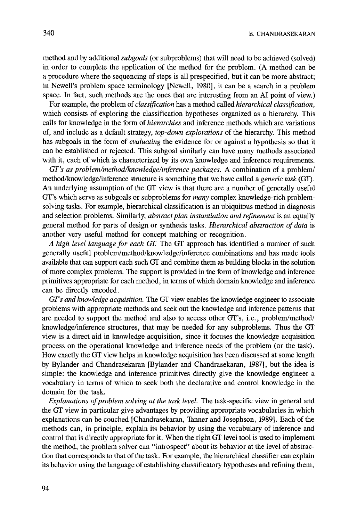method and by additional *subgoals* (or subproblems) that will need to be achieved (solved) in order to complete the application of the method for the problem. (A method can be a procedure where the sequencing of steps is all prespecified, but it can be more abstract; in Newell's problem space terminology [Newell, 1980], it can be a search in a problem space. In fact, such methods are the ones that are interesting from an AI point of view.)

For example, the problem of *classification* has a method called *hierarchical classification,*  which consists of exploring the classification hypotheses organized as a hierarchy. This calls for knowledge in the form of *hierarchies* and inference methods which are variations of, and include as a default strategy, *top-down explorations* of the hierarchy. This method has subgoals in the form of *evaluating the* evidence for or against a hypothesis so that it can be established or rejected. This subgoal similarly can have many methods associated with it, each of which is characterized by its own knowledge and inference requirements.

*GT's as problem/method/knowledge/inference packages.* A combination of a problem/ method/knowledge/inference structure is something that we have called a *generic task* (GT). An underlying assumption of the GT view is that there are a number of generally useful GT's which serve as subgoals or subproblems for *many* complex knowledge-rich problemsolving tasks. For example, hierarchical classification is an ubiquitous method in diagnosis and selection problems. Similarly, *abstract plan instantiation and refinement* is an equally general method for parts of design or synthesis tasks. *Hierarchical abstraction of data* is another very useful method for concept matching or recognition.

*A high level language for each GT.* The GT approach has identified a number of such generally useful problem/method/knowledge/inference combinations and has made tools available that can support each such GT and combine them as building blocks in the solution of more complex problems. The support is provided in the form of knowledge and inference primitives appropriate for each method, in terms of which domain knowledge and inference can be directly encoded.

*GT's and knowledge acquisition.* The GT view enables the knowledge engineer to associate problems with appropriate methods and seek out the knowledge and inference patterns that are needed to support the method and also to access other GT's, i.e., problem/method/ knowledge/inference structures, that may be needed for any subproblems. Thus the GT view is a direct aid in knowledge acquisition, since it focuses the knowledge acquisition process on the operational knowledge and inference needs of the problem (or the task). How exactly the GT view helps in knowledge acquisition has been discussed at some length by Bylander and Chandrasekaran [Bylander and Chandrasekaran, 1987], but the idea is simple: the knowledge and inference primitives directly give the knowledge engineer a vocabulary in terms of which to seek both the declarative and control knowledge in the domain for the task.

*Explanations of problem solving at the task level.* The task-specific view in general and the GT view in particular give advantages by providing appropriate vocabularies in which explanations can be couched [Chandrasekaran, Tanner and Josephson, 1989]. Each of the methods can, in principle, explain its behavior by using the vocabulary of inference and control that is directly appropriate for it. When the right GT level tool is used to implement the method, the problem solver can "introspect" about its behavior at the level of abstraction that corresponds to that of the task. For example, the hierarchical classifier can explain its behavior using the language of establishing classificatory hypotheses and refining them,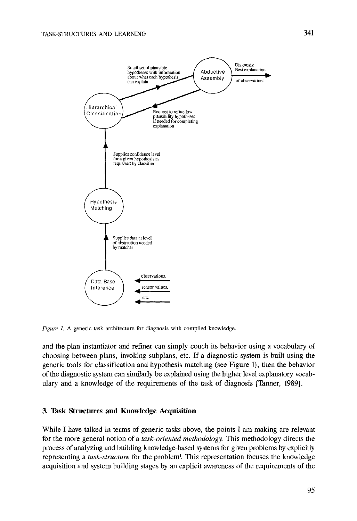

*Figure* 1. A **generic task architecture for diagnosis with compiled knowledge.** 

**and the plan instantiator and refiner can simply couch its behavior using a vocabulary of choosing between plans, invoking subplans, etc. If a diagnostic system is built using the generic tools for classification and hypothesis matching (see Figure 1), then the behavior of the diagnostic system can similarly be explained using the higher level explanatory vocabulary and a knowledge of the requirements of the task of diagnosis [Tanner, 1989].** 

# **3. Task Structures and Knowledge Acquisition**

**While I have talked in terms of generic tasks above, the points I am making are relevant for the more general notion of a** *task-oriented methodology.* **This methodology directs the process of analyzing and building knowledge-based systems for given problems by explicitly representing a** *task-structure* **for the problem'. This representation focuses the knowledge acquisition and system building stages by an explicit awareness of the requirements of the**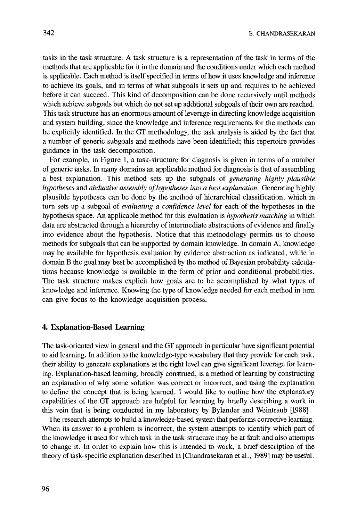tasks in the task structure. A task structure is a representation of the task in terms of the methods that are applicable for it in the domain and the conditions under which each method is applicable. Each method is itself specified in terms of how it uses knowledge and inference to achieve its goals, and in terms of what subgoals it sets up and requires to be achieved before it can succeed. This kind of decomposition can be done recursively until methods which achieve subgoals but which do not set up additional subgoals of their own are reached. This task structure has an enormous amount of leverage in directing knowledge acquisition and system building, since the knowledge and inference requirements for the methods can be explicitly identified. In the GT methodology, the task analysis is aided by the fact that a number of generic subgoals and methods have been identified; this repertoire provides guidance in the task decomposition.

For example, in Figure 1, a task-structure for diagnosis is given in terms of a number of generic tasks. In many domains an applicable method for diagnosis is that of assembling a best explanation. This method sets up the subgoals of *generating highly plausible hypotheses* and *abductive assembly of hypotheses into a best explanation.* Generating highly plausible hypotheses can be done by the method of hierarchical classification, which in turn sets up a subgoal of *evaluating a confidence level* for each of the hypotheses in the hypothesis space. An applicable method for this evaluation is *hypothesis matching* in which data are abstracted through a hierarchy of intermediate abstractions of evidence and finally into evidence about the hypothesis. Notice that this methodology permits us to choose methods for subgoals that can be supported by domain knowledge. In domain A, knowledge may be available for hypothesis evaluation by evidence abstraction as indicated, while in domain B the goal may best be accomplished by the method of Bayesian probability calculations because knowledge is available in the form of prior and conditional probabilities. The task structure makes explicit how goals are to be accomplished by what types of knowledge and inference. Knowing the type of knowledge needed for each method in turn can give focus to the knowledge acquisition process.

# **4. Explanation-Based Learning**

The task-oriented view in general and the GT approach in particular have significant potential to aid learning. In addition to the knowledge-type vocabulary that they provide for each task, their ability to generate explanations at the right level can give significant leverage for learning. Explanation-based learning, broadly construed, is a method of learning by constructing an explanation of why some solution was correct or incorrect, and using the explanation to define the concept that is being learned. I would like to outline how the explanatory capabilities of the GT approach are helpful for learning by briefly describing a work in this vein that is being conducted in my laboratory by Bylander and Weintraub [1988].

The research attempts to build a knowledge-based system that performs corrective learning. When its answer to a problem is incorrect, the system attempts to identify which part of the knowledge it used for which task in the task-structure may be at fault and also attempts to change it. In order to explain how this is intended to work, a brief description of the theory of task-specific explanation described in [Chandrasekaran et al., 1989] may be useful.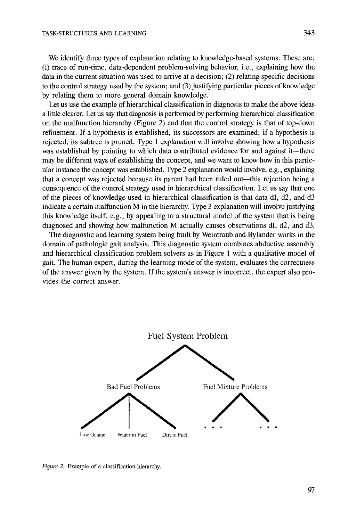We identify three types of explanation relating to knowledge-based systems. These are: (1) trace of run-time, data-dependent problem-solving behavior, i.e., explaining how the data in the current situation was used to arrive at a decision; (2) relating specific decisions to the control strategy used by the system; and (3) justifying particular pieces of knowledge by relating them to more general domain knowledge.

Let us use the example of hierarchical classification in diagnosis to make the above ideas a little clearer. Let us say that diagnosis is performed by performing hierarchical classification on the malfunction hierarchy (Figure 2) and that the control strategy is that of top-down refinement. If a hypothesis is established, its successors are examined; if a hypothesis is rejected, its subtree is pruned. Type 1 explanation will involve showing how a hypothesis was established by pointing to which data contributed evidence for and against it—there may be different ways of establishing the concept, and we want to know how in this particular instance the concept was established. Type 2 explanation would involve, e.g., explaining that a concept was rejected because its parent had been ruled out--this rejection being a consequence of the control strategy used in hierarchical classification. Let us say that one of the pieces of knowledge used in hierarchical classification is that data dl, d2, and d3 indicate a certain malfunction M in the hierarchy. Type 3 explanation will involve justifying this knowledge itself, e.g., by appealing to a structural model of the system that is being diagnosed and showing how malfunction M actually causes observations dl, d2, and d3.

The diagnostic and learning system being built by Weintraub and Bylander works in the domain of pathologic gait analysis. This diagnostic system combines abductive assembly and hierarchical classification problem solvers as in Figure 1 with a qualitative model of gait. The human expert, during the learning mode of the system, evaluates the correctness of the answer given by the system. If the system's answer is incorrect, the expert also provides the correct answer.



*Figure 2.* Example of a classification hierarchy.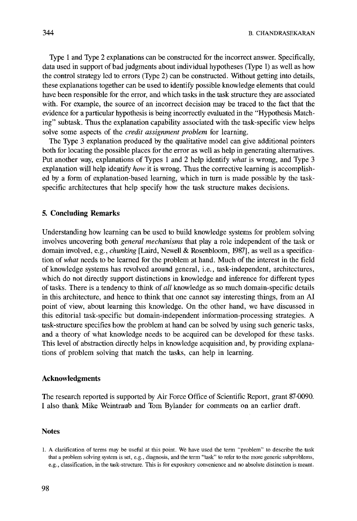Type 1 and Type 2 explanations can be constructed for the incorrect answer. Specifically, data used in support of bad judgments about individual hypotheses (Type 1) as well as how the control strategy led to errors (Type 2) can be constructed. Without getting into details, these explanations together can be used to identify possible knowledge elements that could have been responsible for the error, and which tasks in the task structure they are associated with. For example, the source of an incorrect decision may be traced to the fact that the evidence for a particular hypothesis is being incorrectly evaluated in the "Hypothesis Matching" subtask. Thus the explanation capability associated with the task-specific view helps solve some aspects of the *credit assignment problem* for learning.

The Type 3 explanation produced by the qualitative model can give additional pointers both for locating the possible places for the error as well as help in generating alternatives. Put another way, explanations of Types 1 and 2 help identify *what* is wrong, and Type 3 explanation will help identify *how* it is wrong. Thus the corrective learning is accomplished by a form of explanation-based learning, which in turn is made possible by the taskspecific architectures that help specify how the task structure makes decisions.

#### **5. Concluding Remarks**

Understanding how learning can be used to build knowledge systems for problem solving involves uncovering both *general mechanisms* that play a role independent of the task or domain involved, e.g., *chunking* [Laird, Newell & Rosenbloom, 1987], as well as a specification of *what* needs to be learned for the problem at hand. Much of the interest in the field of knowledge systems has revolved around general, i.e., task-independent, architectures, which do not directly support distinctions in knowledge and inference for different types of tasks. There is a tendency to think of *all* knowledge as so much domain-specific details in this architecture, and hence to think that one cannot say interesting things, from an AI point of view, about learning this knowledge. On the other hand, we have discussed in this editorial task-specific but domain-independent information-processing strategies. A task-structure specifies how the problem at hand can be solved by using such generic tasks, and a theory of what knowledge needs to be acquired can be developed for these tasks. This level of abstraction directly helps in knowledge acquisition and, by providing explanations of problem solving that match the tasks, can help in learning.

# **Acknowledgments**

The research reported is supported by Air Force Office of Scientific Report, grant 87-0090. I also thank Mike Weintraub and Tom Bylander for comments on an earlier draft.

#### **Notes**

<sup>1.</sup> A clarification of terms may be useful at this point. We have used the term "problem" to describe the task that a problem solving system is set, e.g., diagnosis, and the term "task" to refer to the more generic subproblems, e.g., classification, in the task-structure. This is for expository convenience and no absolute distinction is meant.